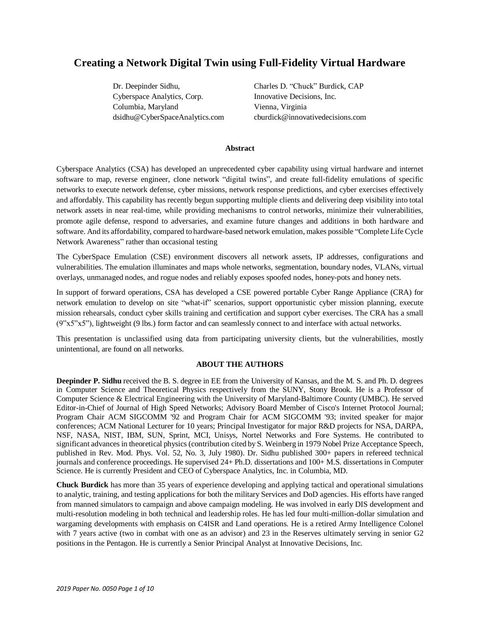# **Creating a Network Digital Twin using Full-Fidelity Virtual Hardware**

Cyberspace Analytics, Corp. Innovative Decisions, Inc. Columbia, Maryland Vienna, Virginia

Dr. Deepinder Sidhu, Charles D. "Chuck" Burdick, CAP dsidhu@CyberSpaceAnalytics.com cburdick@innovativedecisions.com

# **Abstract**

Cyberspace Analytics (CSA) has developed an unprecedented cyber capability using virtual hardware and internet software to map, reverse engineer, clone network "digital twins", and create full-fidelity emulations of specific networks to execute network defense, cyber missions, network response predictions, and cyber exercises effectively and affordably. This capability has recently begun supporting multiple clients and delivering deep visibility into total network assets in near real-time, while providing mechanisms to control networks, minimize their vulnerabilities, promote agile defense, respond to adversaries, and examine future changes and additions in both hardware and software. And its affordability, compared to hardware-based network emulation, makes possible "Complete Life Cycle Network Awareness" rather than occasional testing

The CyberSpace Emulation (CSE) environment discovers all network assets, IP addresses, configurations and vulnerabilities. The emulation illuminates and maps whole networks, segmentation, boundary nodes, VLANs, virtual overlays, unmanaged nodes, and rogue nodes and reliably exposes spoofed nodes, honey-pots and honey nets.

In support of forward operations, CSA has developed a CSE powered portable Cyber Range Appliance (CRA) for network emulation to develop on site "what-if" scenarios, support opportunistic cyber mission planning, execute mission rehearsals, conduct cyber skills training and certification and support cyber exercises. The CRA has a small (9"x5"x5"), lightweight (9 lbs.) form factor and can seamlessly connect to and interface with actual networks.

This presentation is unclassified using data from participating university clients, but the vulnerabilities, mostly unintentional, are found on all networks.

# **ABOUT THE AUTHORS**

**Deepinder P. Sidhu** received the B. S. degree in EE from the University of Kansas, and the M. S. and Ph. D. degrees in Computer Science and Theoretical Physics respectively from the SUNY, Stony Brook. He is a Professor of Computer Science & Electrical Engineering with the University of Maryland-Baltimore County (UMBC). He served Editor-in-Chief of Journal of High Speed Networks; Advisory Board Member of Cisco's Internet Protocol Journal; Program Chair ACM SIGCOMM '92 and Program Chair for ACM SIGCOMM '93; invited speaker for major conferences; ACM National Lecturer for 10 years; Principal Investigator for major R&D projects for NSA, DARPA, NSF, NASA, NIST, IBM, SUN, Sprint, MCI, Unisys, Nortel Networks and Fore Systems. He contributed to significant advances in theoretical physics (contribution cited by S. Weinberg in 1979 Nobel Prize Acceptance Speech, published in Rev. Mod. Phys. Vol. 52, No. 3, July 1980). Dr. Sidhu published 300+ papers in refereed technical journals and conference proceedings. He supervised 24+ Ph.D. dissertations and 100+ M.S. dissertations in Computer Science. He is currently President and CEO of Cyberspace Analytics, Inc. in Columbia, MD.

**Chuck Burdick** has more than 35 years of experience developing and applying tactical and operational simulations to analytic, training, and testing applications for both the military Services and DoD agencies. His efforts have ranged from manned simulators to campaign and above campaign modeling. He was involved in early DIS development and multi-resolution modeling in both technical and leadership roles. He has led four multi-million-dollar simulation and wargaming developments with emphasis on C4ISR and Land operations. He is a retired Army Intelligence Colonel with 7 years active (two in combat with one as an advisor) and 23 in the Reserves ultimately serving in senior G2 positions in the Pentagon. He is currently a Senior Principal Analyst at Innovative Decisions, Inc.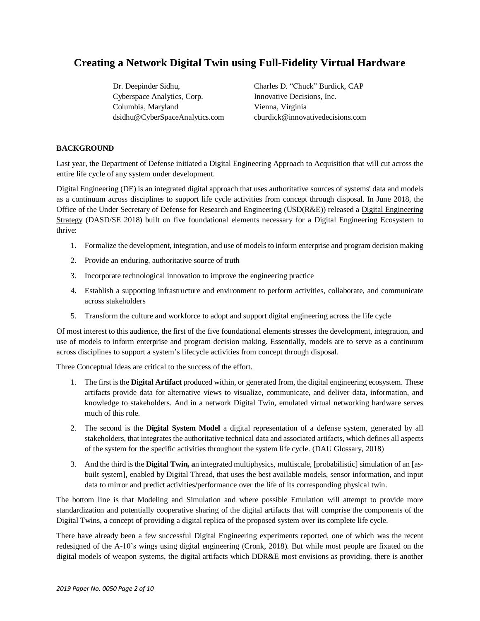# **Creating a Network Digital Twin using Full-Fidelity Virtual Hardware**

Cyberspace Analytics, Corp. Innovative Decisions, Inc. Columbia, Maryland Vienna, Virginia

Dr. Deepinder Sidhu, Charles D. "Chuck" Burdick, CAP dsidhu@CyberSpaceAnalytics.com cburdick@innovativedecisions.com

# **BACKGROUND**

Last year, the Department of Defense initiated a Digital Engineering Approach to Acquisition that will cut across the entire life cycle of any system under development.

Digital Engineering (DE) is an integrated digital approach that uses authoritative sources of systems' data and models as a continuum across disciplines to support life cycle activities from concept through disposal. In June 2018, the Office of the Under Secretary of Defense for Research and Engineering (USD(R&E)) released a Digital [Engineering](https://www.acq.osd.mil/SE/docs/2018-DES.pdf) [Strategy](https://www.acq.osd.mil/SE/docs/2018-DES.pdf) (DASD/SE 2018) built on five foundational elements necessary for a Digital Engineering Ecosystem to thrive:

- 1. Formalize the development, integration, and use of models to inform enterprise and program decision making
- 2. Provide an enduring, authoritative source of truth
- 3. Incorporate technological innovation to improve the engineering practice
- 4. Establish a supporting infrastructure and environment to perform activities, collaborate, and communicate across stakeholders
- 5. Transform the culture and workforce to adopt and support digital engineering across the life cycle

Of most interest to this audience, the first of the five foundational elements stresses the development, integration, and use of models to inform enterprise and program decision making. Essentially, models are to serve as a continuum across disciplines to support a system's lifecycle activities from concept through disposal.

Three Conceptual Ideas are critical to the success of the effort.

- 1. The first isthe **Digital Artifact** produced within, or generated from, the digital engineering ecosystem. These artifacts provide data for alternative views to visualize, communicate, and deliver data, information, and knowledge to stakeholders. And in a network Digital Twin, emulated virtual networking hardware serves much of this role.
- 2. The second is the **Digital System Model** a digital representation of a defense system, generated by all stakeholders, that integrates the authoritative technical data and associated artifacts, which defines all aspects of the system for the specific activities throughout the system life cycle. (DAU Glossary, 2018)
- 3. And the third is the **Digital Twin, a**n integrated multiphysics, multiscale, [probabilistic] simulation of an [asbuilt system], enabled by Digital Thread, that uses the best available models, sensor information, and input data to mirror and predict activities/performance over the life of its corresponding physical twin.

The bottom line is that Modeling and Simulation and where possible Emulation will attempt to provide more standardization and potentially cooperative sharing of the digital artifacts that will comprise the components of the Digital Twins, a concept of providing a digital replica of the proposed system over its complete life cycle.

There have already been a few successful Digital Engineering experiments reported, one of which was the recent redesigned of the A-10's wings using digital engineering (Cronk, 2018). But while most people are fixated on the digital models of weapon systems, the digital artifacts which DDR&E most envisions as providing, there is another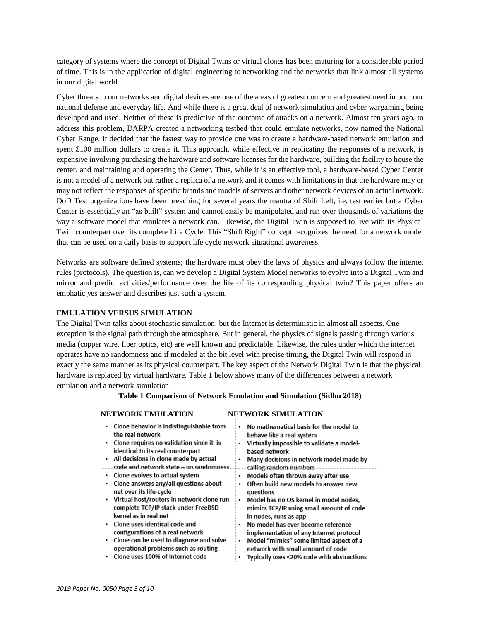category of systems where the concept of Digital Twins or virtual clones has been maturing for a considerable period of time. This is in the application of digital engineering to networking and the networks that link almost all systems in our digital world.

Cyber threats to our networks and digital devices are one of the areas of greatest concern and greatest need in both our national defense and everyday life. And while there is a great deal of network simulation and cyber wargaming being developed and used. Neither of these is predictive of the outcome of attacks on a network. Almost ten years ago, to address this problem, DARPA created a networking testbed that could emulate networks, now named the National Cyber Range. It decided that the fastest way to provide one was to create a hardware-based network emulation and spent \$100 million dollars to create it. This approach, while effective in replicating the responses of a network, is expensive involving purchasing the hardware and software licenses for the hardware, building the facility to house the center, and maintaining and operating the Center. Thus, while it is an effective tool, a hardware-based Cyber Center is not a model of a network but rather a replica of a network and it comes with limitations in that the hardware may or may not reflect the responses of specific brands and models of servers and other network devices of an actual network. DoD Test organizations have been preaching for several years the mantra of Shift Left, i.e. test earlier but a Cyber Center is essentially an "as built" system and cannot easily be manipulated and run over thousands of variations the way a software model that emulates a network can. Likewise, the Digital Twin is supposed to live with its Physical Twin counterpart over its complete Life Cycle. This "Shift Right" concept recognizes the need for a network model that can be used on a daily basis to support life cycle network situational awareness.

Networks are software defined systems; the hardware must obey the laws of physics and always follow the internet rules (protocols). The question is, can we develop a Digital System Model networks to evolve into a Digital Twin and mirror and predict activities/performance over the life of its corresponding physical twin? This paper offers an emphatic yes answer and describes just such a system.

#### **EMULATION VERSUS SIMULATION**.

The Digital Twin talks about stochastic simulation, but the Internet is deterministic in almost all aspects. One exception is the signal path through the atmosphere. But in general, the physics of signals passing through various media (copper wire, fiber optics, etc) are well known and predictable. Likewise, the rules under which the internet operates have no randomness and if modeled at the bit level with precise timing, the Digital Twin will respond in exactly the same manner as its physical counterpart. The key aspect of the Network Digital Twin is that the physical hardware is replaced by virtual hardware. Table 1 below shows many of the differences between a network emulation and a network simulation.

## **Table 1 Comparison of Network Emulation and Simulation (Sidhu 2018)**

## **NETWORK EMULATION NETWORK SIMULATION**

| • Clone behavior is indistinguishable from       | No mathematical basis for the model to     |
|--------------------------------------------------|--------------------------------------------|
| the real network                                 | behave like a real system                  |
| $\cdot$ Clone requires no validation since it is | Virtually impossible to validate a model-  |
| identical to its real counterpart                | based network                              |
| • All decisions in clone made by actual          | Many decisions in network model made by    |
| code and network state - no randomness.          | calling-random-numbers                     |
| • Clone evolves to actual system                 | Models often thrown away after use         |
| Clone answers any/all questions about            | Often build new models to answer new       |
| net over its life-cycle                          | questions                                  |
| • Virtual host/routers in network clone run      | Model has no OS kernel in model nodes,     |
| complete TCP/IP stack under FreeBSD              | mimics TCP/IP using small amount of code   |
| kernel as in real net                            | in nodes, runs as app                      |
| $\cdot$ Clone uses identical code and            | No model has ever become reference         |
| configurations of a real network                 | implementation of any Internet protocol    |
| • Clone can be used to diagnose and solve        | Model "mimics" some limited aspect of a    |
| operational problems such as routing             | network with small amount of code          |
| Clone uses 100% of Internet code                 | Typically uses <20% code with abstractions |
|                                                  |                                            |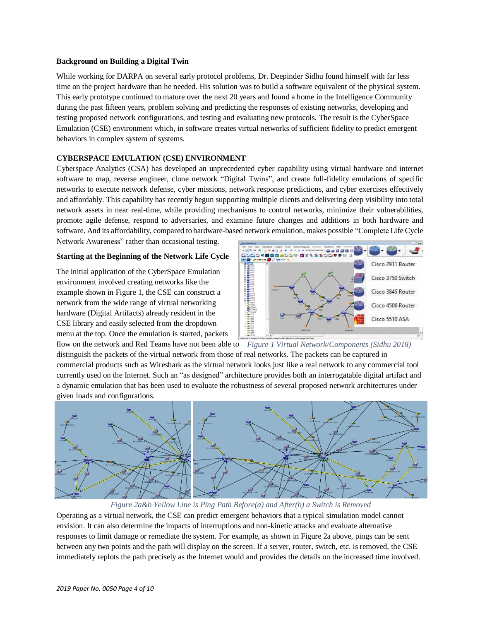## **Background on Building a Digital Twin**

While working for DARPA on several early protocol problems, Dr. Deepinder Sidhu found himself with far less time on the project hardware than he needed. His solution was to build a software equivalent of the physical system. This early prototype continued to mature over the next 20 years and found a home in the Intelligence Community during the past fifteen years, problem solving and predicting the responses of existing networks, developing and testing proposed network configurations, and testing and evaluating new protocols. The result is the CyberSpace Emulation (CSE) environment which, in software creates virtual networks of sufficient fidelity to predict emergent behaviors in complex system of systems.

# **CYBERSPACE EMULATION (CSE) ENVIRONMENT**

Cyberspace Analytics (CSA) has developed an unprecedented cyber capability using virtual hardware and internet software to map, reverse engineer, clone network "Digital Twins", and create full-fidelity emulations of specific networks to execute network defense, cyber missions, network response predictions, and cyber exercises effectively and affordably. This capability has recently begun supporting multiple clients and delivering deep visibility into total network assets in near real-time, while providing mechanisms to control networks, minimize their vulnerabilities, promote agile defense, respond to adversaries, and examine future changes and additions in both hardware and software. And its affordability, compared to hardware-based network emulation, makes possible "Complete Life Cycle

Network Awareness" rather than occasional testing.

#### **Starting at the Beginning of the Network Life Cycle**

The initial application of the CyberSpace Emulation environment involved creating networks like the example shown in Figure 1, the CSE can construct a network from the wide range of virtual networking hardware (Digital Artifacts) already resident in the CSE library and easily selected from the dropdown menu at the top. Once the emulation is started, packets



flow on the network and Red Teams have not been able to *Figure 1 Virtual Network/Components (Sidhu 2018)* distinguish the packets of the virtual network from those of real networks. The packets can be captured in commercial products such as Wireshark as the virtual network looks just like a real network to any commercial tool currently used on the Internet. Such an "as designed" architecture provides both an interrogatable digital artifact and a dynamic emulation that has been used to evaluate the robustness of several proposed network architectures under given loads and configurations.



*Figure 2a&b Yellow Line is Ping Path Before(a) and After(b) a Switch is Removed*

Operating as a virtual network, the CSE can predict emergent behaviors that a typical simulation model cannot envision. It can also determine the impacts of interruptions and non-kinetic attacks and evaluate alternative responses to limit damage or remediate the system. For example, as shown in Figure 2a above, pings can be sent between any two points and the path will display on the screen. If a server, router, switch, etc. is removed, the CSE immediately replots the path precisely as the Internet would and provides the details on the increased time involved.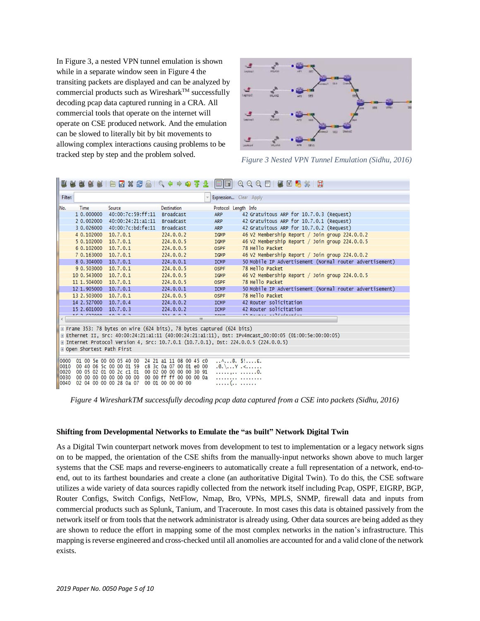In Figure 3, a nested VPN tunnel emulation is shown while in a separate window seen in Figure 4 the transiting packets are displayed and can be analyzed by commercial products such as Wireshark<sup>TM</sup> successfully decoding pcap data captured running in a CRA. All commercial tools that operate on the internet will operate on CSE produced network. And the emulation can be slowed to literally bit by bit movements to allowing complex interactions causing problems to be tracked step by step and the problem solved.



*Figure 3 Nested VPN Tunnel Emulation (Sidhu, 2016)*

| Filter:<br>Expression Clear Apply<br>No.<br><b>Destination</b><br>Protocol Length Info<br>Time<br>Source<br>1 0.000000<br>40:00:7c:59:ff:11<br>Broadcast<br>42 Gratuitous ARP for 10.7.0.3 (Request)<br>ARP<br>2 0.002000<br>Broadcast<br>42 Gratuitous ARP for 10.7.0.1 (Request)<br>40:00:24:21:a1:11<br>ARP<br>40:00:7c:bd:fe:11<br>42 Gratuitous ARP for 10.7.0.2 (Request)<br>3 0.026000<br>Broadcast<br>ARP<br>46 V2 Membership Report / Join group 224.0.0.2<br>4 0.102000<br>224.0.0.2<br>10.7.0.1<br>IGMP |  |  |  |
|--------------------------------------------------------------------------------------------------------------------------------------------------------------------------------------------------------------------------------------------------------------------------------------------------------------------------------------------------------------------------------------------------------------------------------------------------------------------------------------------------------------------|--|--|--|
|                                                                                                                                                                                                                                                                                                                                                                                                                                                                                                                    |  |  |  |
|                                                                                                                                                                                                                                                                                                                                                                                                                                                                                                                    |  |  |  |
|                                                                                                                                                                                                                                                                                                                                                                                                                                                                                                                    |  |  |  |
|                                                                                                                                                                                                                                                                                                                                                                                                                                                                                                                    |  |  |  |
|                                                                                                                                                                                                                                                                                                                                                                                                                                                                                                                    |  |  |  |
|                                                                                                                                                                                                                                                                                                                                                                                                                                                                                                                    |  |  |  |
| 5 0.102000<br>46 V2 Membership Report / Join group 224.0.0.5<br>10.7.0.1<br>224.0.0.5<br>IGMP                                                                                                                                                                                                                                                                                                                                                                                                                      |  |  |  |
| 78 Hello Packet<br>6 0.102000<br>10, 7, 0, 1<br>224.0.0.5<br><b>OSPF</b>                                                                                                                                                                                                                                                                                                                                                                                                                                           |  |  |  |
| 46 V2 Membership Report / Join group 224.0.0.2<br>7 0.163000<br>10, 7, 0, 1<br>224.0.0.2<br>IGMP                                                                                                                                                                                                                                                                                                                                                                                                                   |  |  |  |
| 8 0.304000<br>10.7.0.1<br>50 Mobile IP Advertisement (Normal router advertisement)<br>224.0.0.1<br><b>ICMP</b>                                                                                                                                                                                                                                                                                                                                                                                                     |  |  |  |
| 78 Hello Packet<br>9 0.503000<br>10.7.0.1<br>224.0.0.5<br><b>OSPF</b>                                                                                                                                                                                                                                                                                                                                                                                                                                              |  |  |  |
| 10 0.543000<br>10, 7, 0, 1<br>46 V2 Membership Report / Join group 224.0.0.5<br>224.0.0.5<br>IGMP                                                                                                                                                                                                                                                                                                                                                                                                                  |  |  |  |
| 78 Hello Packet<br>11 1, 504000<br>10, 7, 0, 1<br>224.0.0.5<br><b>OSPF</b>                                                                                                                                                                                                                                                                                                                                                                                                                                         |  |  |  |
| 12 1.905000<br>50 Mobile IP Advertisement (Normal router advertisement)<br>10.7.0.1<br>224.0.0.1<br><b>ICMP</b>                                                                                                                                                                                                                                                                                                                                                                                                    |  |  |  |
| 13 2.503000<br>10, 7, 0, 1<br>78 Hello Packet<br>224.0.0.5<br><b>OSPF</b>                                                                                                                                                                                                                                                                                                                                                                                                                                          |  |  |  |
| 42 Router solicitation<br>14 2.527000<br>10.7.0.4<br>224.0.0.2<br><b>ICMP</b>                                                                                                                                                                                                                                                                                                                                                                                                                                      |  |  |  |
| 42 Router solicitation<br>15 2.601000<br>10.7.0.3<br>224.0.0.2<br><b>ICMP</b>                                                                                                                                                                                                                                                                                                                                                                                                                                      |  |  |  |
| $15.257000$ $10.702$<br>$\begin{array}{c} \n\bullet \bullet \bullet \bullet \bullet \bullet \bullet \end{array}$<br>$r_{min}$<br>in november and classed a<br>$^{\prime\prime\prime}$                                                                                                                                                                                                                                                                                                                              |  |  |  |
|                                                                                                                                                                                                                                                                                                                                                                                                                                                                                                                    |  |  |  |
| E Frame 353: 78 bytes on wire (624 bits), 78 bytes captured (624 bits)                                                                                                                                                                                                                                                                                                                                                                                                                                             |  |  |  |
| ⊞ Ethernet II, Src: 40:00:24:21:a1:11 (40:00:24:21:a1:11), Dst: IPv4mcast_00:00:05 (01:00:5e:00:00:05)                                                                                                                                                                                                                                                                                                                                                                                                             |  |  |  |
| ⊞ Internet Protocol Version 4, Src: 10.7.0.1 (10.7.0.1), Dst: 224.0.0.5 (224.0.0.5)                                                                                                                                                                                                                                                                                                                                                                                                                                |  |  |  |
| Den Shortest Path First                                                                                                                                                                                                                                                                                                                                                                                                                                                                                            |  |  |  |
| $\ldots$ ^ @. \$! E.<br>24 21 a1 11 08 00 45 c0<br>0000<br>01 00 5e 00 00 05 40 00                                                                                                                                                                                                                                                                                                                                                                                                                                 |  |  |  |
| 0010<br>c8 3c 0a 07 00 01 e0 00<br>00 40 06 5c 00 00 01 59<br>$\mathbb{R} \setminus \ldots \mathbb{Y} \prec \ldots$                                                                                                                                                                                                                                                                                                                                                                                                |  |  |  |
| 0020<br>00 05 02 01 00 2c c1 01<br>00 02 00 00 00 00 30 91<br>. 0.                                                                                                                                                                                                                                                                                                                                                                                                                                                 |  |  |  |
| 00 00 ff ff 00 00 00 0a<br>0030<br>00 00 00 00 00 00 00 00<br>.<br>0040<br>00 01 00 00 00 00<br>02 04 00 00 00 28 0a 07<br>. (.                                                                                                                                                                                                                                                                                                                                                                                    |  |  |  |

 *Figure 4 WiresharkTM successfully decoding pcap data captured from a CSE into packets (Sidhu, 2016)*

#### **Shifting from Developmental Networks to Emulate the "as built" Network Digital Twin**

As a Digital Twin counterpart network moves from development to test to implementation or a legacy network signs on to be mapped, the orientation of the CSE shifts from the manually-input networks shown above to much larger systems that the CSE maps and reverse-engineers to automatically create a full representation of a network, end-toend, out to its farthest boundaries and create a clone (an authoritative Digital Twin). To do this, the CSE software utilizes a wide variety of data sources rapidly collected from the network itself including Pcap, OSPF, EIGRP, BGP, Router Configs, Switch Configs, NetFlow, Nmap, Bro, VPNs, MPLS, SNMP, firewall data and inputs from commercial products such as Splunk, Tanium, and Traceroute. In most cases this data is obtained passively from the network itself or from tools that the network administrator is already using. Other data sources are being added as they are shown to reduce the effort in mapping some of the most complex networks in the nation's infrastructure. This mapping is reverse engineered and cross-checked until all anomolies are accounted for and a valid clone of the network exists.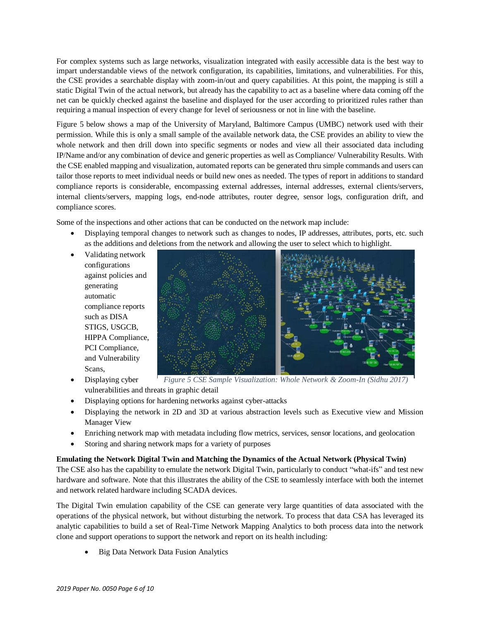For complex systems such as large networks, visualization integrated with easily accessible data is the best way to impart understandable views of the network configuration, its capabilities, limitations, and vulnerabilities. For this, the CSE provides a searchable display with zoom-in/out and query capabilities. At this point, the mapping is still a static Digital Twin of the actual network, but already has the capability to act as a baseline where data coming off the net can be quickly checked against the baseline and displayed for the user according to prioritized rules rather than requiring a manual inspection of every change for level of seriousness or not in line with the baseline.

Figure 5 below shows a map of the University of Maryland, Baltimore Campus (UMBC) network used with their permission. While this is only a small sample of the available network data, the CSE provides an ability to view the whole network and then drill down into specific segments or nodes and view all their associated data including IP/Name and/or any combination of device and generic properties as well as Compliance/ Vulnerability Results. With the CSE enabled mapping and visualization, automated reports can be generated thru simple commands and users can tailor those reports to meet individual needs or build new ones as needed. The types of report in additions to standard compliance reports is considerable, encompassing external addresses, internal addresses, external clients/servers, internal clients/servers, mapping logs, end-node attributes, router degree, sensor logs, configuration drift, and compliance scores.

Some of the inspections and other actions that can be conducted on the network map include:

- Displaying temporal changes to network such as changes to nodes, IP addresses, attributes, ports, etc. such as the additions and deletions from the network and allowing the user to select which to highlight.
- Validating network configurations against policies and generating automatic compliance reports such as DISA STIGS, USGCB, HIPPA Compliance, PCI Compliance, and Vulnerability Scans,



- Displaying cyber vulnerabilities and threats in graphic detail *Figure 5 CSE Sample Visualization: Whole Network & Zoom-In (Sidhu 2017)*
- Displaying options for hardening networks against cyber-attacks
- Displaying the network in 2D and 3D at various abstraction levels such as Executive view and Mission Manager View
- Enriching network map with metadata including flow metrics, services, sensor locations, and geolocation
- Storing and sharing network maps for a variety of purposes

# **Emulating the Network Digital Twin and Matching the Dynamics of the Actual Network (Physical Twin)**

The CSE also has the capability to emulate the network Digital Twin, particularly to conduct "what-ifs" and test new hardware and software. Note that this illustrates the ability of the CSE to seamlessly interface with both the internet and network related hardware including SCADA devices.

The Digital Twin emulation capability of the CSE can generate very large quantities of data associated with the operations of the physical network, but without disturbing the network. To process that data CSA has leveraged its analytic capabilities to build a set of Real-Time Network Mapping Analytics to both process data into the network clone and support operations to support the network and report on its health including:

• Big Data Network Data Fusion Analytics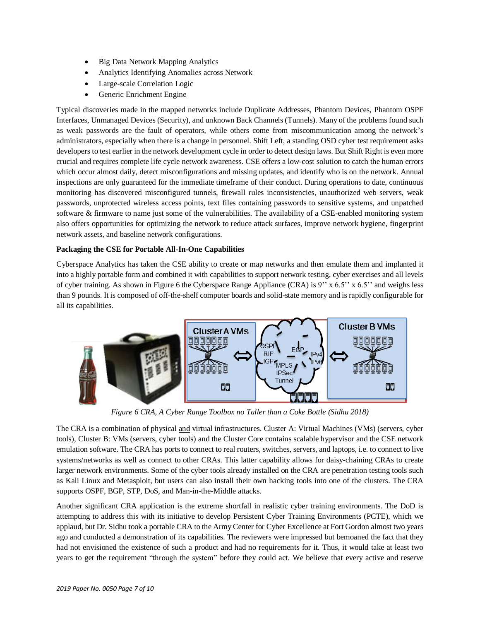- Big Data Network Mapping Analytics
- Analytics Identifying Anomalies across Network
- Large-scale Correlation Logic
- Generic Enrichment Engine

Typical discoveries made in the mapped networks include Duplicate Addresses, Phantom Devices, Phantom OSPF Interfaces, Unmanaged Devices (Security), and unknown Back Channels (Tunnels). Many of the problems found such as weak passwords are the fault of operators, while others come from miscommunication among the network's administrators, especially when there is a change in personnel. Shift Left, a standing OSD cyber test requirement asks developers to test earlier in the network development cycle in order to detect design laws. But Shift Right is even more crucial and requires complete life cycle network awareness. CSE offers a low-cost solution to catch the human errors which occur almost daily, detect misconfigurations and missing updates, and identify who is on the network. Annual inspections are only guaranteed for the immediate timeframe of their conduct. During operations to date, continuous monitoring has discovered misconfigured tunnels, firewall rules inconsistencies, unauthorized web servers, weak passwords, unprotected wireless access points, text files containing passwords to sensitive systems, and unpatched software & firmware to name just some of the vulnerabilities. The availability of a CSE-enabled monitoring system also offers opportunities for optimizing the network to reduce attack surfaces, improve network hygiene, fingerprint network assets, and baseline network configurations.

# **Packaging the CSE for Portable All-In-One Capabilities**

Cyberspace Analytics has taken the CSE ability to create or map networks and then emulate them and implanted it into a highly portable form and combined it with capabilities to support network testing, cyber exercises and all levels of cyber training. As shown in Figure 6 the Cyberspace Range Appliance (CRA) is 9'' x 6.5'' x 6.5'' and weighs less than 9 pounds. It is composed of off-the-shelf computer boards and solid-state memory and is rapidly configurable for all its capabilities.



*Figure 6 CRA, A Cyber Range Toolbox no Taller than a Coke Bottle (Sidhu 2018)*

The CRA is a combination of physical and virtual infrastructures. Cluster A: Virtual Machines (VMs) (servers, cyber tools), Cluster B: VMs (servers, cyber tools) and the Cluster Core contains scalable hypervisor and the CSE network emulation software. The CRA has ports to connect to real routers, switches, servers, and laptops, i.e. to connect to live systems/networks as well as connect to other CRAs. This latter capability allows for daisy-chaining CRAs to create larger network environments. Some of the cyber tools already installed on the CRA are penetration testing tools such as Kali Linux and Metasploit, but users can also install their own hacking tools into one of the clusters. The CRA supports OSPF, BGP, STP, DoS, and Man-in-the-Middle attacks.

Another significant CRA application is the extreme shortfall in realistic cyber training environments. The DoD is attempting to address this with its initiative to develop Persistent Cyber Training Environments (PCTE), which we applaud, but Dr. Sidhu took a portable CRA to the Army Center for Cyber Excellence at Fort Gordon almost two years ago and conducted a demonstration of its capabilities. The reviewers were impressed but bemoaned the fact that they had not envisioned the existence of such a product and had no requirements for it. Thus, it would take at least two years to get the requirement "through the system" before they could act. We believe that every active and reserve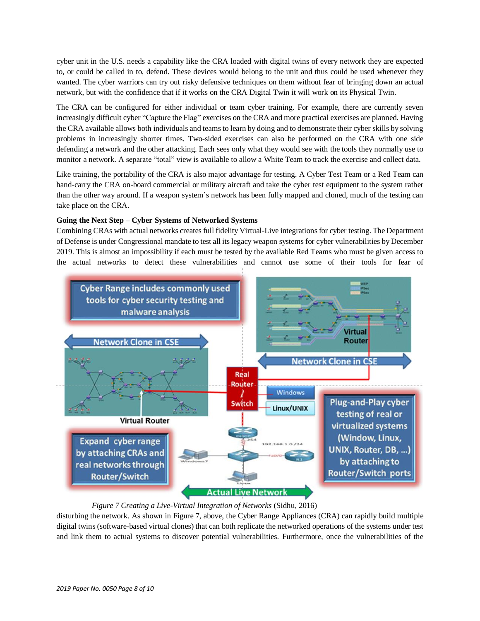cyber unit in the U.S. needs a capability like the CRA loaded with digital twins of every network they are expected to, or could be called in to, defend. These devices would belong to the unit and thus could be used whenever they wanted. The cyber warriors can try out risky defensive techniques on them without fear of bringing down an actual network, but with the confidence that if it works on the CRA Digital Twin it will work on its Physical Twin.

The CRA can be configured for either individual or team cyber training. For example, there are currently seven increasingly difficult cyber "Capture the Flag" exercises on the CRA and more practical exercises are planned. Having the CRA available allows both individuals and teams to learn by doing and to demonstrate their cyber skills by solving problems in increasingly shorter times. Two-sided exercises can also be performed on the CRA with one side defending a network and the other attacking. Each sees only what they would see with the tools they normally use to monitor a network. A separate "total" view is available to allow a White Team to track the exercise and collect data.

Like training, the portability of the CRA is also major advantage for testing. A Cyber Test Team or a Red Team can hand-carry the CRA on-board commercial or military aircraft and take the cyber test equipment to the system rather than the other way around. If a weapon system's network has been fully mapped and cloned, much of the testing can take place on the CRA.

# **Going the Next Step – Cyber Systems of Networked Systems**

Combining CRAs with actual networks creates full fidelity Virtual-Live integrationsfor cyber testing. The Department of Defense is under Congressional mandate to test all itslegacy weapon systems for cyber vulnerabilities by December 2019. This is almost an impossibility if each must be tested by the available Red Teams who must be given access to the actual networks to detect these vulnerabilities and cannot use some of their tools for fear of



 *Figure 7 Creating a Live-Virtual Integration of Networks* (Sidhu, 2016)

disturbing the network. As shown in Figure 7, above, the Cyber Range Appliances (CRA) can rapidly build multiple digital twins (software-based virtual clones) that can both replicate the networked operations of the systems under test and link them to actual systems to discover potential vulnerabilities. Furthermore, once the vulnerabilities of the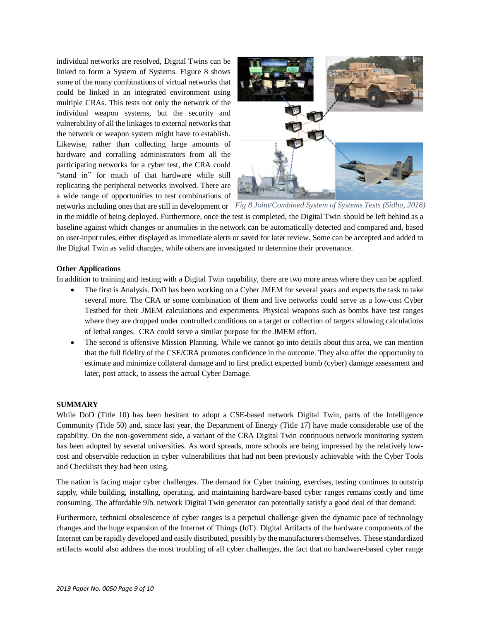individual networks are resolved, Digital Twins can be linked to form a System of Systems. Figure 8 shows some of the many combinations of virtual networks that could be linked in an integrated environment using multiple CRAs. This tests not only the network of the individual weapon systems, but the security and vulnerability of all the linkages to external networks that the network or weapon system might have to establish. Likewise, rather than collecting large amounts of hardware and corralling administrators from all the participating networks for a cyber test, the CRA could "stand in" for much of that hardware while still replicating the peripheral networks involved. There are a wide range of opportunities to test combinations of



networks including onesthat are still in development or *Fig 8 Joint/Combined System of Systems Tests (Sidhu, 2018)*

in the middle of being deployed. Furthermore, once the test is completed, the Digital Twin should be left behind as a baseline against which changes or anomalies in the network can be automatically detected and compared and, based on user-input rules, either displayed as immediate alerts or saved for later review. Some can be accepted and added to the Digital Twin as valid changes, while others are investigated to determine their provenance.

# **Other Applications**

In addition to training and testing with a Digital Twin capability, there are two more areas where they can be applied.

- The first is Analysis. DoD has been working on a Cyber JMEM for several years and expects the task to take several more. The CRA or some combination of them and live networks could serve as a low-cost Cyber Testbed for their JMEM calculations and experiments. Physical weapons such as bombs have test ranges where they are dropped under controlled conditions on a target or collection of targets allowing calculations of lethal ranges. CRA could serve a similar purpose for the JMEM effort.
- The second is offensive Mission Planning. While we cannot go into details about this area, we can mention that the full fidelity of the CSE/CRA promotes confidence in the outcome. They also offer the opportunity to estimate and minimize collateral damage and to first predict expected bomb (cyber) damage assessment and later, post attack, to assess the actual Cyber Damage.

#### **SUMMARY**

While DoD (Title 10) has been hesitant to adopt a CSE-based network Digital Twin, parts of the Intelligence Community (Title 50) and, since last year, the Department of Energy (Title 17) have made considerable use of the capability. On the non-government side, a variant of the CRA Digital Twin continuous network monitoring system has been adopted by several universities. As word spreads, more schools are being impressed by the relatively lowcost and observable reduction in cyber vulnerabilities that had not been previously achievable with the Cyber Tools and Checklists they had been using.

The nation is facing major cyber challenges. The demand for Cyber training, exercises, testing continues to outstrip supply, while building, installing, operating, and maintaining hardware-based cyber ranges remains costly and time consuming. The affordable 9lb. network Digital Twin generator can potentially satisfy a good deal of that demand.

Furthermore, technical obsolescence of cyber ranges is a perpetual challenge given the dynamic pace of technology changes and the huge expansion of the Internet of Things (IoT). Digital Artifacts of the hardware components of the Internet can be rapidly developed and easily distributed, possibly by the manufacturers themselves. These standardized artifacts would also address the most troubling of all cyber challenges, the fact that no hardware-based cyber range